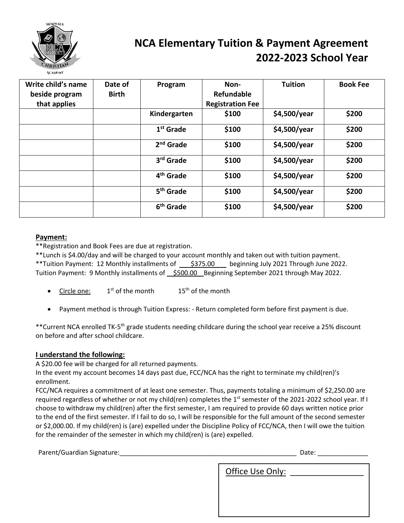

## **NCA Elementary Tuition & Payment Agreement 2022-2023 School Year**

| Write child's name<br>beside program | Date of<br><b>Birth</b> | Program               | Non-<br><b>Refundable</b> | <b>Tuition</b> | <b>Book Fee</b> |
|--------------------------------------|-------------------------|-----------------------|---------------------------|----------------|-----------------|
| that applies                         |                         |                       | <b>Registration Fee</b>   |                |                 |
|                                      |                         | Kindergarten          | \$100                     | \$4,500/year   | \$200           |
|                                      |                         | 1 <sup>st</sup> Grade | \$100                     | \$4,500/year   | \$200           |
|                                      |                         | $2nd$ Grade           | \$100                     | \$4,500/year   | \$200           |
|                                      |                         | 3 <sup>rd</sup> Grade | \$100                     | \$4,500/year   | \$200           |
|                                      |                         | 4 <sup>th</sup> Grade | \$100                     | \$4,500/year   | \$200           |
|                                      |                         | 5 <sup>th</sup> Grade | \$100                     | \$4,500/year   | \$200           |
|                                      |                         | 6 <sup>th</sup> Grade | \$100                     | \$4,500/year   | \$200           |

## **Payment:**

\*\*Registration and Book Fees are due at registration.

\*\*Lunch is \$4.00/day and will be charged to your account monthly and taken out with tuition payment. \*\*Tuition Payment: 12 Monthly installments of  $\frac{$375.00}{$275.00}$  beginning July 2021 Through June 2022. Tuition Payment: 9 Monthly installments of \$500.00 Beginning September 2021 through May 2022.

- Circle one:  $1<sup>st</sup>$  of the month  $15<sup>th</sup>$  of the month
- Payment method is through Tuition Express: Return completed form before first payment is due.

\*\*Current NCA enrolled TK-5th grade students needing childcare during the school year receive a 25% discount on before and after school childcare.

## **I understand the following:**

A \$20.00 fee will be charged for all returned payments.

In the event my account becomes 14 days past due, FCC/NCA has the right to terminate my child(ren)'s enrollment.

FCC/NCA requires a commitment of at least one semester. Thus, payments totaling a minimum of \$2,250.00 are required regardless of whether or not my child(ren) completes the 1<sup>st</sup> semester of the 2021-2022 school year. If I choose to withdraw my child(ren) after the first semester, I am required to provide 60 days written notice prior to the end of the first semester. If I fail to do so, I will be responsible for the full amount of the second semester or \$2,000.00. If my child(ren) is (are) expelled under the Discipline Policy of FCC/NCA, then I will owe the tuition for the remainder of the semester in which my child(ren) is (are) expelled.

| Parent/Guardian Signature: | Date:            |  |  |
|----------------------------|------------------|--|--|
|                            | Office Use Only: |  |  |
|                            |                  |  |  |